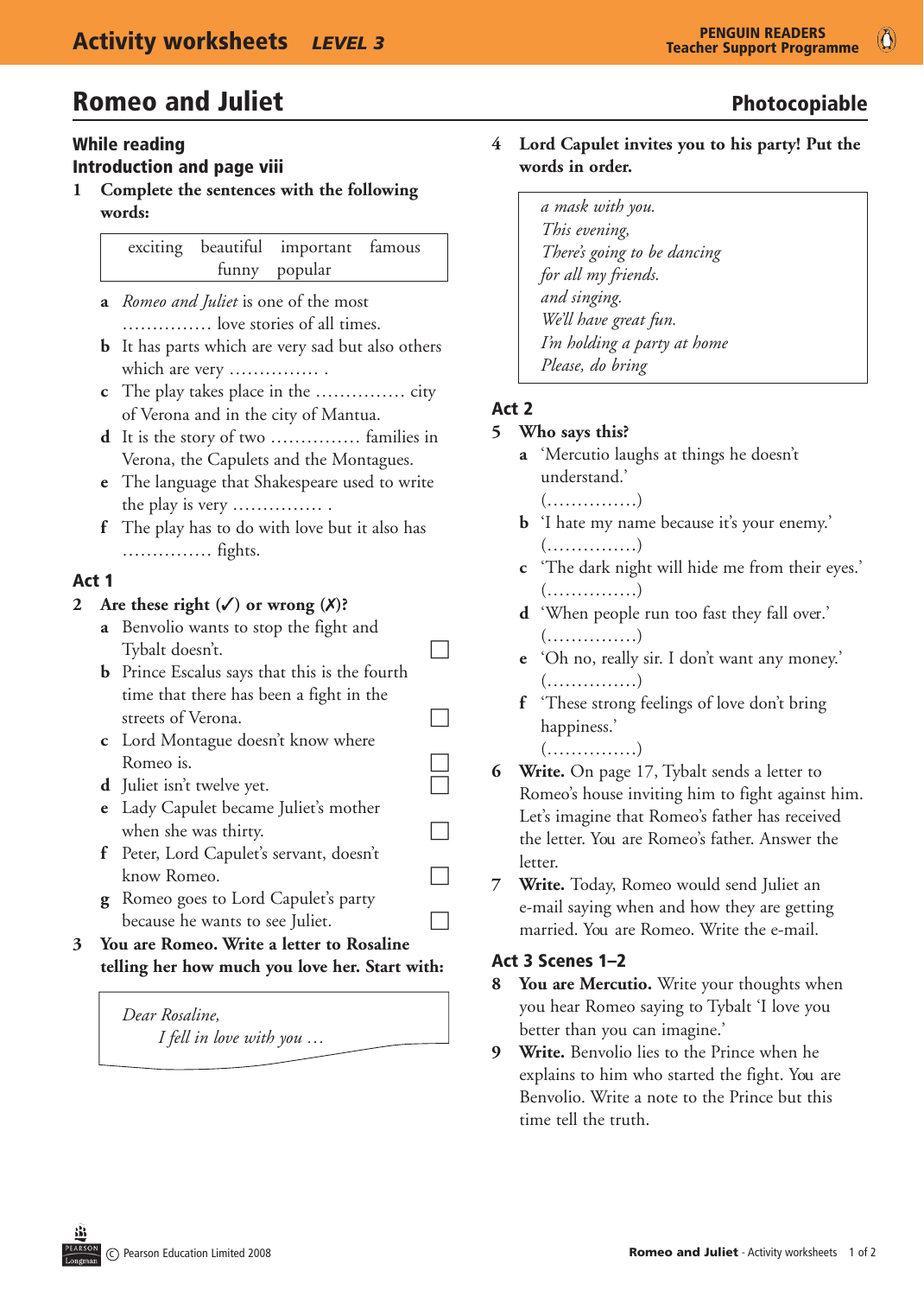# **Romeo and Juliet Community Community** Photocopiable

#### While reading Introduction and page viii

**1** Complete the sentences with the following **words:**

|  | exciting beautiful important famous |  |
|--|-------------------------------------|--|
|  | funny popular                       |  |

- **a** *Romeo and Juliet* is one of the most …………… love stories of all times.
- **b** It has parts which are very sad but also others which are very …………… .
- **c** The play takes place in the …………… city of Verona and in the city of Mantua.
- **d** It is the story of two …………… families in Verona, the Capulets and the Montagues.
- **e** The language that Shakespeare used to write the play is very …………… .
- **f** The play has to do with love but it also has …………… fights.

### Act 1

#### 2 Are these right  $(\checkmark)$  or wrong  $(\checkmark)$ ?

- **a** Benvolio wants to stop the fight and  $\Box$  Tybalt doesn't.
- **b** Prince Escalus says that this is the fourth time that there has been a fight in the streets of Verona.
- **c** Lord Montague doesn't know where Romeo is.  $\Box$ <br>
Juliet isn't twelve yet.
- **d** Juliet isn't twelve yet.
- **e** Lady Capulet became Juliet's mother when she was thirty.  $\Box$
- **f** Peter, Lord Capulet's servant, doesn't know Romeo.
- **g** Romeo goes to Lord Capulet's party because he wants to see Juliet.  $\Box$
- **3** You are Romeo. Write a letter to Rosaline telling her how much you love her. Start with:

# *Dear Rosaline,*

 *I fell in love with you …*

- 4 Lord Capulet invites you to his party! Put the words in order.
	- *a mask with you. This evening, There's going to be dancing for all my friends. and singing. We'll have great fun. I'm holding a party at home Please, do bring*

## Act 2

### 5 Who says this?

- **a** 'Mercutio laughs at things he doesn't understand.'
	- (……………)
- **b** 'I hate my name because it's your enemy.' (……………)
- **c** 'The dark night will hide me from their eyes.' (……………)
- **d** 'When people run too fast they fall over.' (……………)
- **e** 'Oh no, really sir. I don't want any money.' (……………)
- **f** 'These strong feelings of love don't bring happiness.' (……………)
- **6 Write.** On page 17, Tybalt sends a letter to Romeo's house inviting him to fight against him. Let's imagine that Romeo's father has received the letter. You are Romeo's father. Answer the letter.
- **7 Write.** Today, Romeo would send Juliet an e-mail saying when and how they are getting married. You are Romeo. Write the e-mail.

### Act 3 Scenes 1–2

- **8** You are Mercutio. Write your thoughts when you hear Romeo saying to Tybalt 'I love you better than you can imagine.'
- **9 Write.** Benvolio lies to the Prince when he explains to him who started the fight. You are Benvolio. Write a note to the Prince but this time tell the truth.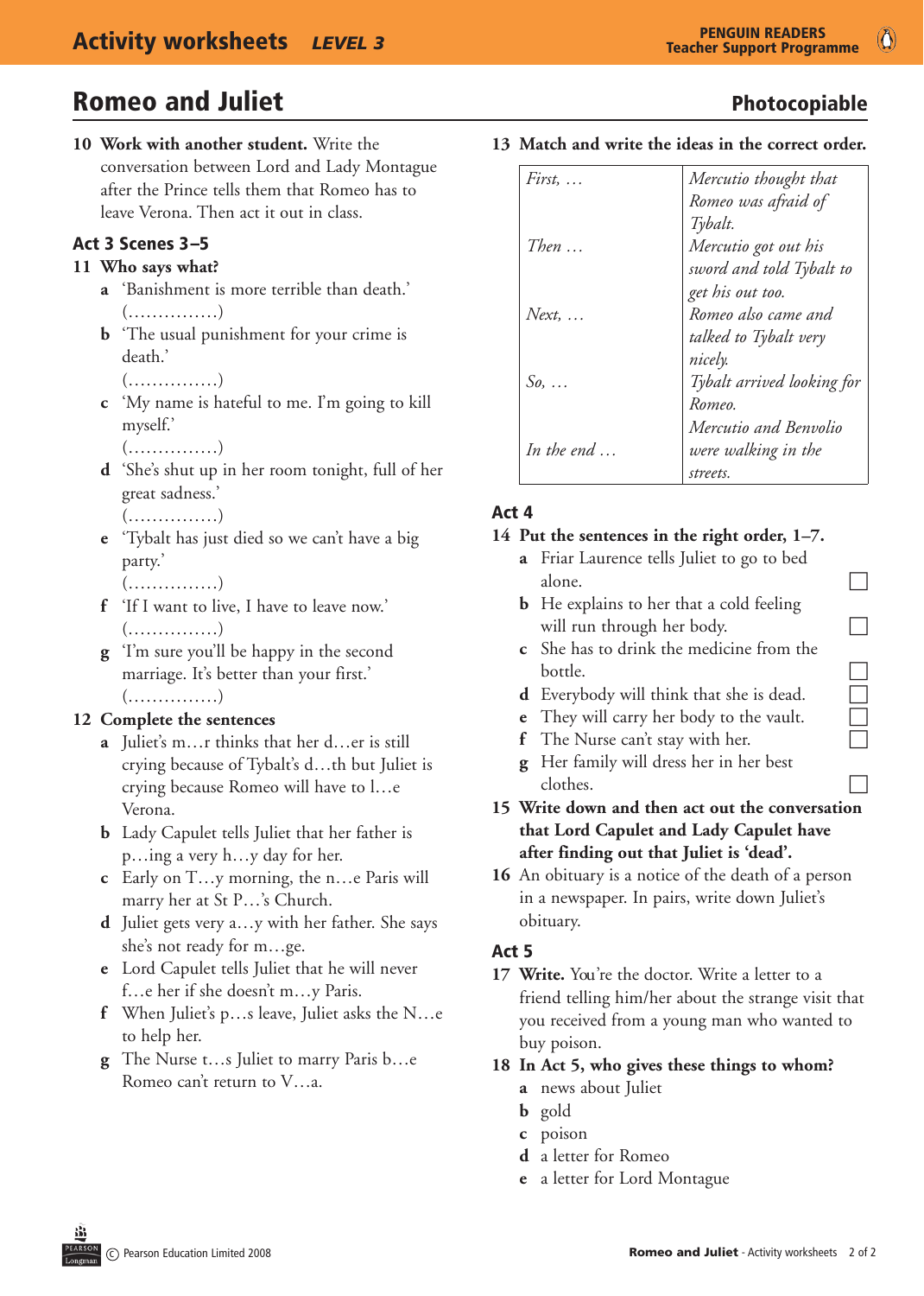$\circ$ 

# **Romeo and Juliet Community Community** Photocopiable

**10 Work with another student.** Write the conversation between Lord and Lady Montague after the Prince tells them that Romeo has to leave Verona. Then act it out in class.

#### Act 3 Scenes 3–5

#### 11 Who says what?

- **a** 'Banishment is more terrible than death.' (……………)
- **b** 'The usual punishment for your crime is death.'

```
   (……………)
```
- **c** 'My name is hateful to me. I'm going to kill myself.'
	- (……………)
- **d** 'She's shut up in her room tonight, full of her great sadness.' (……………)
	-
- **e** 'Tybalt has just died so we can't have a big party.'
	- (……………)
- **f** 'If I want to live, I have to leave now.' (……………)
- **g** 'I'm sure you'll be happy in the second marriage. It's better than your first.' (……………)

#### 12 Complete the sentences

- **a** Juliet's m…r thinks that her d…er is still crying because of Tybalt's d…th but Juliet is crying because Romeo will have to l…e Verona.
- **b** Lady Capulet tells Juliet that her father is p…ing a very h…y day for her.
- **c** Early on T…y morning, the n…e Paris will marry her at St P…'s Church.
- **d** Juliet gets very a…y with her father. She says she's not ready for m…ge.
- **e** Lord Capulet tells Juliet that he will never f…e her if she doesn't m…y Paris.
- **f** When Juliet's p…s leave, Juliet asks the N…e to help her.
- **g** The Nurse t…s Juliet to marry Paris b…e Romeo can't return to V…a.

*First, … Then … Next, … So, … In the end … Mercutio thought that Romeo was afraid of Tybalt. Mercutio got out his sword and told Tybalt to get his out too. Romeo also came and talked to Tybalt very nicely. Tybalt arrived looking for Romeo. Mercutio and Benvolio were walking in the streets.*

13 Match and write the ideas in the correct order.

### Act 4

#### 14 Put the sentences in the right order, 1-7.

- **a** Friar Laurence tells Juliet to go to bed alone.  $\Box$
- **b** He explains to her that a cold feeling will run through her body.  $\Box$
- **c** She has to drink the medicine from the bottle. **c** She has to drink the medicine from the<br>bottle.<br>**d** Everybody will think that she is dead.<br>**e** They will carry her body to the vault.<br>**f** The Nurse can't stay with her.
- 
- **e** They will carry her body to the vault.
- **f** The Nurse can't stay with her.
- **g** Her family will dress her in her best clothes.
- **15** Write down and then act out the conversation that Lord Capulet and Lady Capulet have after finding out that Juliet is 'dead'.
- **16** An obituary is a notice of the death of a person in a newspaper. In pairs, write down Juliet's obituary.

#### Act 5

17 Write. You're the doctor. Write a letter to a friend telling him/her about the strange visit that you received from a young man who wanted to buy poison.

#### 18 In Act 5, who gives these things to whom?

- **a** news about Juliet
- **b** gold
- **c** poison
- **d** a letter for Romeo
- **e** a letter for Lord Montague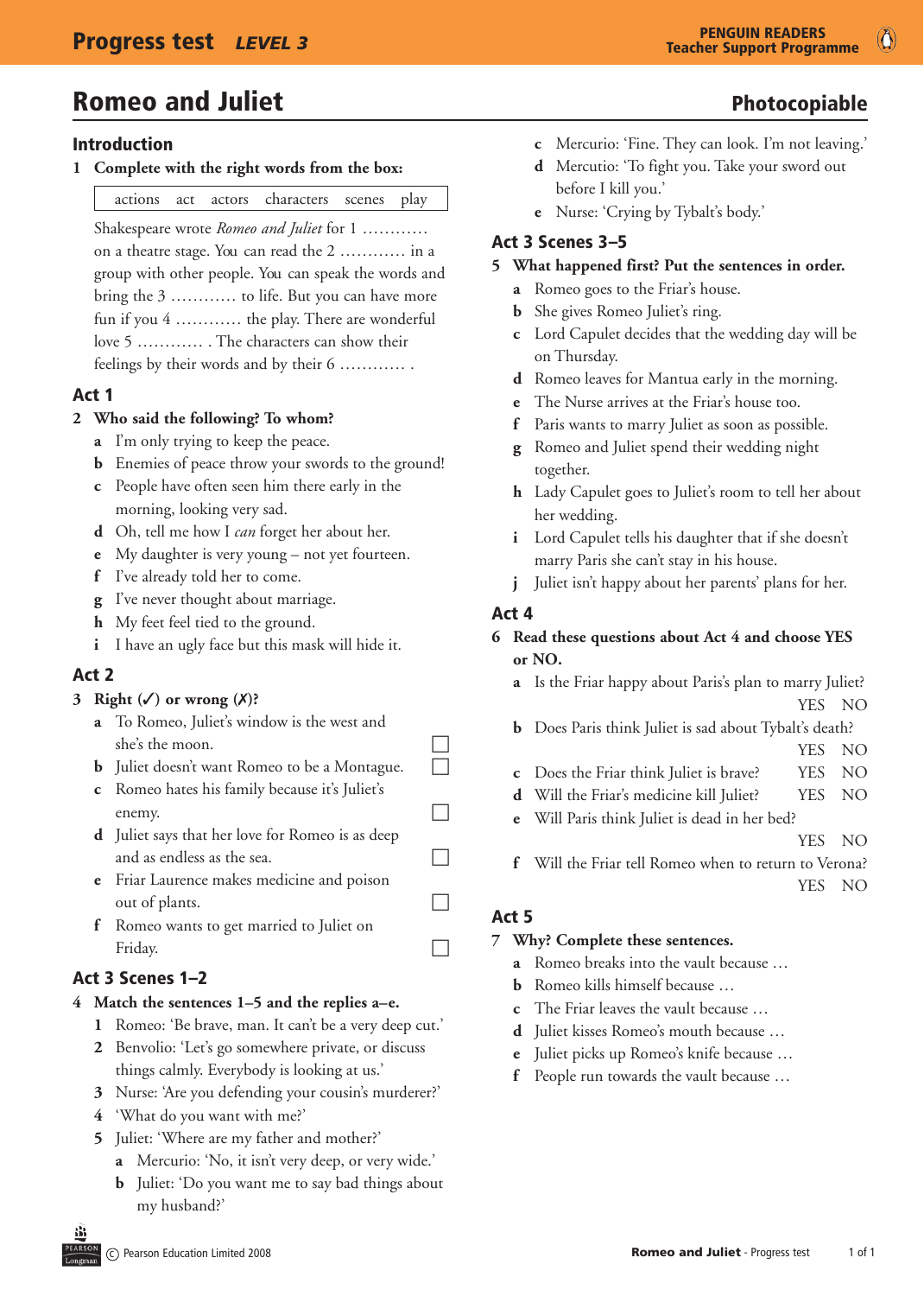# **Romeo and Juliet Community Community** Photocopiable

#### Introduction

1 Complete with the right words from the box:

| actions | act actors | characters | scenes | play |
|---------|------------|------------|--------|------|
|         |            |            |        |      |

 Shakespeare wrote *Romeo and Juliet* for 1 ………… on a theatre stage. You can read the 2 ………… in a group with other people. You can speak the words and bring the 3 ………… to life. But you can have more fun if you 4 ………… the play. There are wonderful love 5 ………… . The characters can show their feelings by their words and by their 6 ………… .

#### Act 1

#### 2 Who said the following? To whom?

- **a** I'm only trying to keep the peace.
- **b** Enemies of peace throw your swords to the ground!
- **c** People have often seen him there early in the morning, looking very sad.
- **d** Oh, tell me how I *can* forget her about her.
- **e** My daughter is very young not yet fourteen.
- **f** I've already told her to come.
- **g** I've never thought about marriage.
- **h** My feet feel tied to the ground.
- **i** I have an ugly face but this mask will hide it.

#### Act 2

#### **3** Right  $(\checkmark)$  or wrong  $(\checkmark)$ ?

- **a** To Romeo, Juliet's window is the west and she's the moon.
- **b** Juliet doesn't want Romeo to be a Montague.  $\Box$
- **c** Romeo hates his family because it's Juliet's enemy.
- **d** Juliet says that her love for Romeo is as deep and as endless as the sea.  $\Box$
- **e** Friar Laurence makes medicine and poison out of plants.
- **f** Romeo wants to get married to Juliet on Friday.  $\Box$

### Act 3 Scenes 1–2

#### **4 Match the sentences 1–5 and the replies a–e.**

- **1** Romeo: 'Be brave, man. It can't be a very deep cut.'
- **2** Benvolio: 'Let's go somewhere private, or discuss things calmly. Everybody is looking at us.'
- **3** Nurse: 'Are you defending your cousin's murderer?'
- **4** 'What do you want with me?'
- **5** Juliet: 'Where are my father and mother?'
	- **a** Mercurio: 'No, it isn't very deep, or very wide.'
	- **b** Juliet: 'Do you want me to say bad things about my husband?'
- 
- **c** Mercurio: 'Fine. They can look. I'm not leaving.'
- **d** Mercutio: 'To fight you. Take your sword out before I kill you.'
- **e** Nurse: 'Crying by Tybalt's body.'

#### Act 3 Scenes 3–5

#### 5 What happened first? Put the sentences in order.

- **a** Romeo goes to the Friar's house.
- **b** She gives Romeo Juliet's ring.
- **c** Lord Capulet decides that the wedding day will be on Thursday.
- **d** Romeo leaves for Mantua early in the morning.
- **e** The Nurse arrives at the Friar's house too.
- **f** Paris wants to marry Juliet as soon as possible.
- **g** Romeo and Juliet spend their wedding night together.
- **h** Lady Capulet goes to Juliet's room to tell her about her wedding.
- **i** Lord Capulet tells his daughter that if she doesn't marry Paris she can't stay in his house.
- **j** Juliet isn't happy about her parents' plans for her.

#### Act 4

#### **6** Read these questions about Act 4 and choose YES or NO.

- **a** Is the Friar happy about Paris's plan to marry Juliet? YES NO
- **b** Does Paris think Juliet is sad about Tybalt's death? YES NO
- **c** Does the Friar think Juliet is brave? YES NO
- **d** Will the Friar's medicine kill Juliet? YES NO
- **e** Will Paris think Juliet is dead in her bed?

YES NO

**f** Will the Friar tell Romeo when to return to Verona? YES NO

#### Act 5

#### **7** Why? Complete these sentences.

- **a** Romeo breaks into the vault because …
- **b** Romeo kills himself because ...
- **c** The Friar leaves the vault because …
- **d** Juliet kisses Romeo's mouth because …
- **e** Juliet picks up Romeo's knife because …
- **f** People run towards the vault because …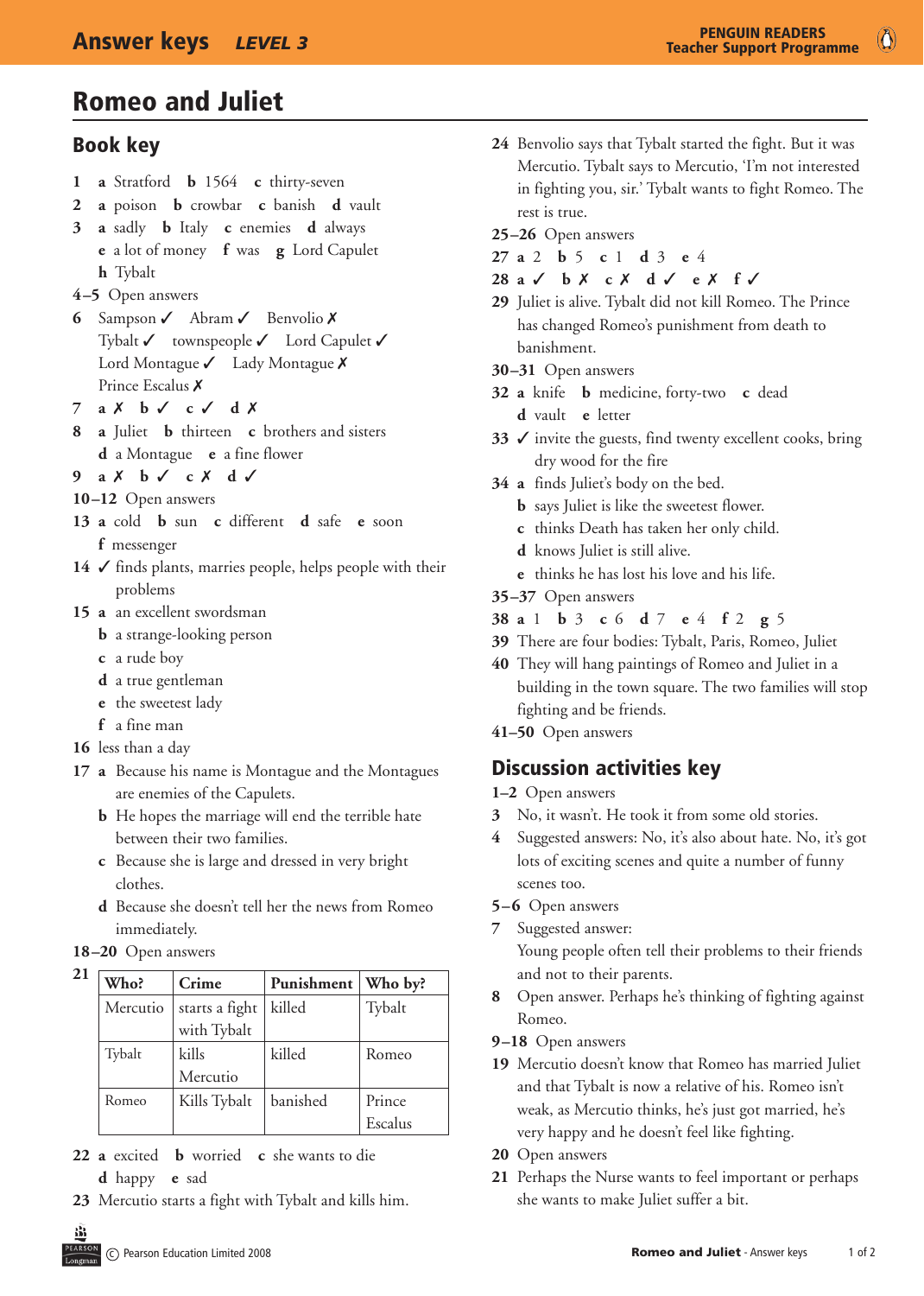# Romeo and Juliet

### Book key

- **1 a** Stratford **b** 1564 **c** thirty-seven
- **2 a** poison **b** crowbar **c** banish **d** vault
- **3 a** sadly **b** Italy **c** enemies **d** always **e** a lot of money **f** was **g** Lord Capulet **h** Tybalt
- **4–5**  Open answers
- **6** Sampson √ Abram √ Benvolio X Tybalt  $\checkmark$  townspeople  $\checkmark$  Lord Capulet  $\checkmark$ Lord Montague  $\checkmark$  Lady Montague  $\checkmark$ Prince Escalus X
- **7 a**  $X$  **b**  $\checkmark$  **c**  $\checkmark$  **d**  $X$
- **8 a** Juliet **b** thirteen **c** brothers and sisters **d** a Montague **e** a fine flower
- **9 a**  $X$  **b**  $\checkmark$  **c**  $X$  **d**  $\checkmark$
- **10–12** Open answers
- **13 a** cold **b** sun **c** different **d** safe **e** soon **f** messenger
- $14 \checkmark$  finds plants, marries people, helps people with their problems
- 15 **a** an excellent swordsman
	- **b** a strange-looking person
	- **c** a rude boy
	- **d** a true gentleman
	- **e** the sweetest lady
	- **f** a fine man
- **16** less than a day
- **17 a** Because his name is Montague and the Montagues are enemies of the Capulets.
	- **b** He hopes the marriage will end the terrible hate between their two families.
	- **c** Because she is large and dressed in very bright clothes.
	- **d** Because she doesn't tell her the news from Romeo immediately.

#### **18–20** Open answers

**21**

| Who?     | Crime          | Punishment | Who by? |  |
|----------|----------------|------------|---------|--|
| Mercutio | starts a fight | killed     | Tybalt  |  |
|          | with Tybalt    |            |         |  |
| Tybalt   | kills          | killed     | Romeo   |  |
|          | Mercutio       |            |         |  |
| Romeo    | Kills Tybalt   | banished   | Prince  |  |
|          |                |            | Escalus |  |

- **22 a** excited **b** worried **c** she wants to die
	- **d** happy **e** sad
- **23** Mercutio starts a fight with Tybalt and kills him.
- **24** Benvolio says that Tybalt started the fight. But it was Mercutio. Tybalt says to Mercutio, 'I'm not interested in fighting you, sir.' Tybalt wants to fight Romeo. The rest is true.
- **25–26** Open answers
- **27 a** 2 **b** 5 **c** 1 **d** 3 **e** 4
- **28 a** 3 **b** 7 **c** 7 **d** 3 **e** 7 **f** 3
- **29** Juliet is alive. Tybalt did not kill Romeo. The Prince has changed Romeo's punishment from death to banishment.
- **30–31** Open answers
- **32 a** knife **b** medicine, forty-two **c** dead **d** vault **e** letter
- **33**  $\checkmark$  invite the guests, find twenty excellent cooks, bring dry wood for the fire
- **34 a** finds Juliet's body on the bed.
	- **b** says Juliet is like the sweetest flower.
	- **c** thinks Death has taken her only child.
	- **d** knows Juliet is still alive.
	- **e** thinks he has lost his love and his life.
- **35–37** Open answers
- **38 a** 1 **b** 3 **c** 6 **d** 7 **e** 4 **f** 2 **g** 5
- **39** There are four bodies: Tybalt, Paris, Romeo, Juliet
- **40** They will hang paintings of Romeo and Juliet in a building in the town square. The two families will stop fighting and be friends.
- **41–50** Open answers

# Discussion activities key

- **1–2** Open answers
- **3** No, it wasn't. He took it from some old stories.
- **4** Suggested answers: No, it's also about hate. No, it's got lots of exciting scenes and quite a number of funny scenes too.
- **5–6** Open answers
- **7** Suggested answer:

 Young people often tell their problems to their friends and not to their parents.

- **8** Open answer. Perhaps he's thinking of fighting against Romeo.
- **9–18** Open answers
- **19** Mercutio doesn't know that Romeo has married Juliet and that Tybalt is now a relative of his. Romeo isn't weak, as Mercutio thinks, he's just got married, he's very happy and he doesn't feel like fighting.
- 20 Open answers
- **21** Perhaps the Nurse wants to feel important or perhaps she wants to make Juliet suffer a bit.